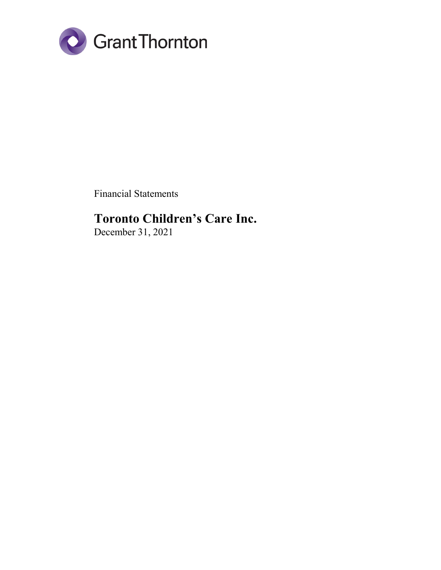

Financial Statements

# **Toronto Children's Care Inc.**

December 31, 2021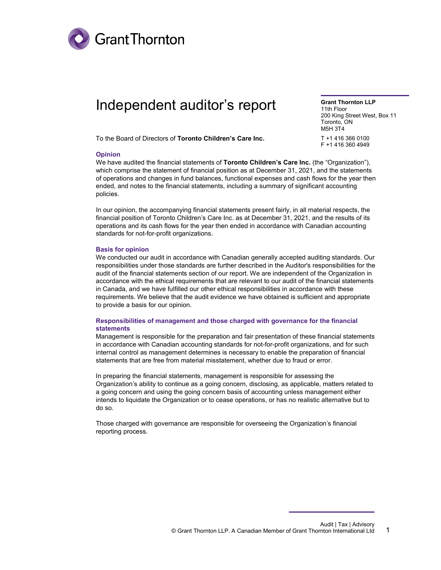

# Independent auditor's report

To the Board of Directors of **Toronto Children's Care Inc.**

**Grant Thornton LLP** 11th Floor 200 King Street West, Box 11 Toronto, ON M5H 3T4 T +1 416 366 0100 F +1 416 360 4949

#### **Opinion**

We have audited the financial statements of **Toronto Children's Care Inc.** (the "Organization"), which comprise the statement of financial position as at December 31, 2021, and the statements of operations and changes in fund balances, functional expenses and cash flows for the year then ended, and notes to the financial statements, including a summary of significant accounting policies.

In our opinion, the accompanying financial statements present fairly, in all material respects, the financial position of Toronto Children's Care Inc. as at December 31, 2021, and the results of its operations and its cash flows for the year then ended in accordance with Canadian accounting standards for not-for-profit organizations.

#### **Basis for opinion**

We conducted our audit in accordance with Canadian generally accepted auditing standards. Our responsibilities under those standards are further described in the Auditor's responsibilities for the audit of the financial statements section of our report. We are independent of the Organization in accordance with the ethical requirements that are relevant to our audit of the financial statements in Canada, and we have fulfilled our other ethical responsibilities in accordance with these requirements. We believe that the audit evidence we have obtained is sufficient and appropriate to provide a basis for our opinion.

#### **Responsibilities of management and those charged with governance for the financial statements**

Management is responsible for the preparation and fair presentation of these financial statements in accordance with Canadian accounting standards for not-for-profit organizations, and for such internal control as management determines is necessary to enable the preparation of financial statements that are free from material misstatement, whether due to fraud or error.

In preparing the financial statements, management is responsible for assessing the Organization's ability to continue as a going concern, disclosing, as applicable, matters related to a going concern and using the going concern basis of accounting unless management either intends to liquidate the Organization or to cease operations, or has no realistic alternative but to do so.

Those charged with governance are responsible for overseeing the Organization's financial reporting process.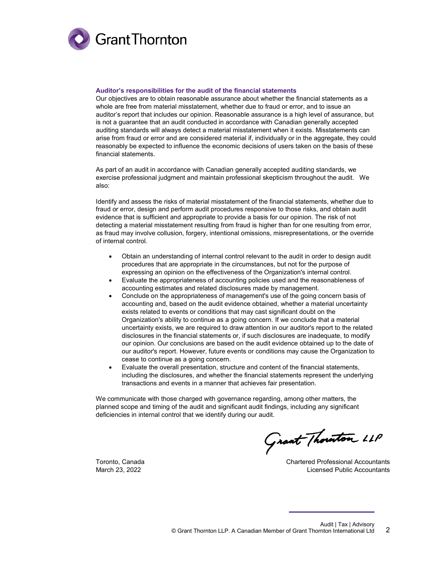

#### **Auditor's responsibilities for the audit of the financial statements**

Our objectives are to obtain reasonable assurance about whether the financial statements as a whole are free from material misstatement, whether due to fraud or error, and to issue an auditor's report that includes our opinion. Reasonable assurance is a high level of assurance, but is not a guarantee that an audit conducted in accordance with Canadian generally accepted auditing standards will always detect a material misstatement when it exists. Misstatements can arise from fraud or error and are considered material if, individually or in the aggregate, they could reasonably be expected to influence the economic decisions of users taken on the basis of these financial statements.

As part of an audit in accordance with Canadian generally accepted auditing standards, we exercise professional judgment and maintain professional skepticism throughout the audit. We also:

Identify and assess the risks of material misstatement of the financial statements, whether due to fraud or error, design and perform audit procedures responsive to those risks, and obtain audit evidence that is sufficient and appropriate to provide a basis for our opinion. The risk of not detecting a material misstatement resulting from fraud is higher than for one resulting from error, as fraud may involve collusion, forgery, intentional omissions, misrepresentations, or the override of internal control.

- Obtain an understanding of internal control relevant to the audit in order to design audit procedures that are appropriate in the circumstances, but not for the purpose of expressing an opinion on the effectiveness of the Organization's internal control.
- Evaluate the appropriateness of accounting policies used and the reasonableness of accounting estimates and related disclosures made by management.
- Conclude on the appropriateness of management's use of the going concern basis of accounting and, based on the audit evidence obtained, whether a material uncertainty exists related to events or conditions that may cast significant doubt on the Organization's ability to continue as a going concern. If we conclude that a material uncertainty exists, we are required to draw attention in our auditor's report to the related disclosures in the financial statements or, if such disclosures are inadequate, to modify our opinion. Our conclusions are based on the audit evidence obtained up to the date of our auditor's report. However, future events or conditions may cause the Organization to cease to continue as a going concern.
- Evaluate the overall presentation, structure and content of the financial statements, including the disclosures, and whether the financial statements represent the underlying transactions and events in a manner that achieves fair presentation.

We communicate with those charged with governance regarding, among other matters, the planned scope and timing of the audit and significant audit findings, including any significant deficiencies in internal control that we identify during our audit.

Grant Thouton LLP

Toronto, Canada Chartered Professional Accountants March 23, 2022 Licensed Public Accountants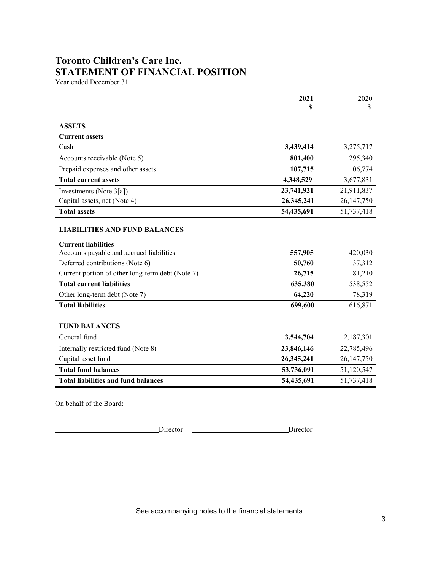# **Toronto Children's Care Inc. STATEMENT OF FINANCIAL POSITION**

Year ended December 31

|                                                  | 2021       | 2020       |
|--------------------------------------------------|------------|------------|
|                                                  | S          | \$         |
| <b>ASSETS</b>                                    |            |            |
| <b>Current assets</b>                            |            |            |
| Cash                                             | 3,439,414  | 3,275,717  |
| Accounts receivable (Note 5)                     | 801,400    | 295,340    |
| Prepaid expenses and other assets                | 107,715    | 106,774    |
| <b>Total current assets</b>                      | 4,348,529  | 3,677,831  |
| Investments (Note 3[a])                          | 23,741,921 | 21,911,837 |
| Capital assets, net (Note 4)                     | 26,345,241 | 26,147,750 |
| <b>Total assets</b>                              | 54,435,691 | 51,737,418 |
| <b>LIABILITIES AND FUND BALANCES</b>             |            |            |
| <b>Current liabilities</b>                       |            |            |
| Accounts payable and accrued liabilities         | 557,905    | 420,030    |
| Deferred contributions (Note 6)                  | 50,760     | 37,312     |
| Current portion of other long-term debt (Note 7) | 26,715     | 81,210     |
| <b>Total current liabilities</b>                 | 635,380    | 538,552    |
| Other long-term debt (Note 7)                    | 64,220     | 78,319     |
| <b>Total liabilities</b>                         | 699,600    | 616,871    |
| <b>FUND BALANCES</b>                             |            |            |
| General fund                                     | 3,544,704  | 2,187,301  |
| Internally restricted fund (Note 8)              | 23,846,146 | 22,785,496 |
| Capital asset fund                               | 26,345,241 | 26,147,750 |
| <b>Total fund balances</b>                       | 53,736,091 | 51,120,547 |
| <b>Total liabilities and fund balances</b>       | 54,435,691 | 51,737,418 |

On behalf of the Board:

Director Director Director

See accompanying notes to the financial statements.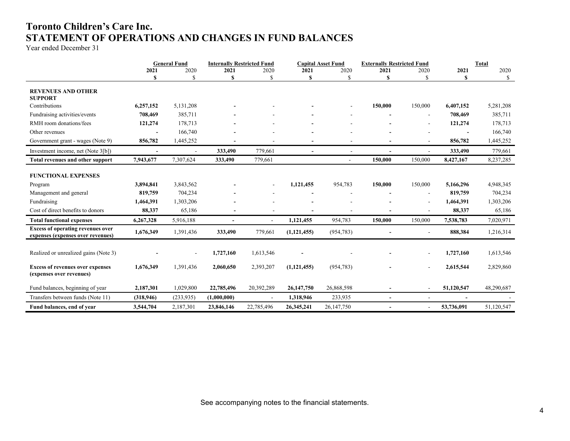# **Toronto Children's Care Inc. STATEMENT OF OPERATIONS AND CHANGES IN FUND BALANCES**

Year ended December 31

|                                                                               |                          | <b>General Fund</b>      | <b>Internally Restricted Fund</b> |                |                          | <b>Capital Asset Fund</b> | <b>Externally Restricted Fund</b> |                          |                          | <b>Total</b>  |
|-------------------------------------------------------------------------------|--------------------------|--------------------------|-----------------------------------|----------------|--------------------------|---------------------------|-----------------------------------|--------------------------|--------------------------|---------------|
|                                                                               | 2021                     | 2020                     | 2021                              | 2020           | 2021                     | 2020                      | 2021                              | 2020                     | 2021                     | 2020          |
|                                                                               | \$                       | S                        | \$                                | <sup>\$</sup>  | \$                       | $\mathbb{S}$              | \$                                | <sup>S</sup>             | S                        | <sup>\$</sup> |
| <b>REVENUES AND OTHER</b><br><b>SUPPORT</b>                                   |                          |                          |                                   |                |                          |                           |                                   |                          |                          |               |
| Contributions                                                                 | 6,257,152                | 5,131,208                |                                   |                |                          |                           | 150,000                           | 150,000                  | 6,407,152                | 5,281,208     |
| Fundraising activities/events                                                 | 708,469                  | 385,711                  |                                   |                | ٠                        |                           | $\overline{\phantom{a}}$          | $\blacksquare$           | 708,469                  | 385,711       |
| RMH room donations/fees                                                       | 121,274                  | 178,713                  |                                   |                |                          |                           |                                   |                          | 121,274                  | 178,713       |
| Other revenues                                                                |                          | 166,740                  |                                   |                |                          |                           |                                   |                          |                          | 166,740       |
| Government grant - wages (Note 9)                                             | 856,782                  | 1,445,252                |                                   |                |                          |                           |                                   | ÷                        | 856,782                  | 1,445,252     |
| Investment income, net (Note 3[b])                                            | $\overline{\phantom{a}}$ | $\overline{\phantom{a}}$ | 333,490                           | 779,661        | $\overline{\phantom{a}}$ | $\overline{\phantom{a}}$  | $\overline{\phantom{a}}$          | ÷,                       | 333,490                  | 779,661       |
| <b>Total revenues and other support</b>                                       | 7,943,677                | 7,307,624                | 333,490                           | 779,661        |                          | $\sim$                    | 150,000                           | 150,000                  | 8,427,167                | 8,237,285     |
| <b>FUNCTIONAL EXPENSES</b>                                                    |                          |                          |                                   |                |                          |                           |                                   |                          |                          |               |
| Program                                                                       | 3,894,841                | 3,843,562                |                                   |                | 1,121,455                | 954,783                   | 150,000                           | 150,000                  | 5,166,296                | 4,948,345     |
| Management and general                                                        | 819,759                  | 704,234                  |                                   |                |                          |                           |                                   | ٠                        | 819,759                  | 704,234       |
| Fundraising                                                                   | 1,464,391                | 1,303,206                |                                   |                |                          |                           |                                   | $\overline{\phantom{a}}$ | 1,464,391                | 1,303,206     |
| Cost of direct benefits to donors                                             | 88,337                   | 65,186                   |                                   |                |                          |                           |                                   |                          | 88,337                   | 65,186        |
| <b>Total functional expenses</b>                                              | 6,267,328                | 5,916,188                |                                   | $\overline{a}$ | 1,121,455                | 954,783                   | 150,000                           | 150,000                  | 7,538,783                | 7,020,971     |
| <b>Excess of operating revenues over</b><br>expenses (expenses over revenues) | 1,676,349                | 1,391,436                | 333,490                           | 779,661        | (1, 121, 455)            | (954, 783)                |                                   |                          | 888,384                  | 1,216,314     |
| Realized or unrealized gains (Note 3)                                         |                          |                          | 1,727,160                         | 1,613,546      |                          |                           |                                   | $\overline{\phantom{a}}$ | 1,727,160                | 1,613,546     |
| <b>Excess of revenues over expenses</b><br>(expenses over revenues)           | 1,676,349                | 1,391,436                | 2,060,650                         | 2,393,207      | (1, 121, 455)            | (954, 783)                |                                   |                          | 2,615,544                | 2,829,860     |
| Fund balances, beginning of year                                              | 2,187,301                | 1,029,800                | 22,785,496                        | 20,392,289     | 26,147,750               | 26,868,598                |                                   | $\overline{\phantom{a}}$ | 51,120,547               | 48,290,687    |
| Transfers between funds (Note 11)                                             | (318,946)                | (233,935)                | (1,000,000)                       | $\overline{a}$ | 1,318,946                | 233,935                   | $\overline{\phantom{a}}$          | ÷                        | $\overline{\phantom{a}}$ |               |
| Fund balances, end of year                                                    | 3,544,704                | 2,187,301                | 23,846,146                        | 22,785,496     | 26,345,241               | 26, 147, 750              | $\overline{\phantom{a}}$          | ÷,                       | 53,736,091               | 51,120,547    |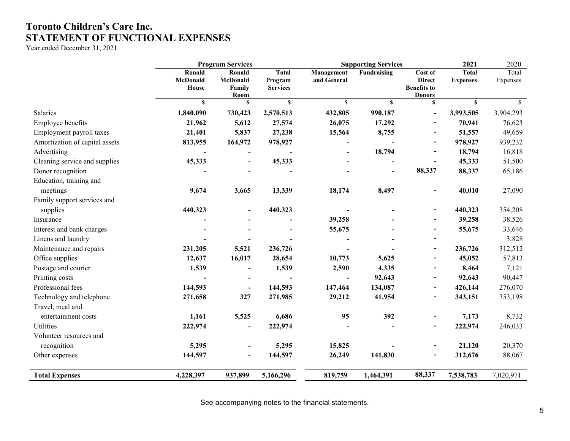# **Toronto Children's Care Inc. STATEMENT OF FUNCTIONAL EXPENSES**

Year ended December 31, 2021

|                                | <b>Program Services</b> |                          | <b>Supporting Services</b> |              |                    | 2021                                | 2020            |              |
|--------------------------------|-------------------------|--------------------------|----------------------------|--------------|--------------------|-------------------------------------|-----------------|--------------|
|                                | Ronald                  | Ronald                   | <b>Total</b>               | Management   | <b>Fundraising</b> | Cost of                             | <b>Total</b>    | Total        |
|                                | McDonald                | McDonald                 | Program<br><b>Services</b> | and General  |                    | <b>Direct</b><br><b>Benefits to</b> | <b>Expenses</b> | Expenses     |
|                                | House                   | Family<br>Room           |                            |              |                    | <b>Donors</b>                       |                 |              |
|                                | \$                      | $\mathbf{s}$             | $\mathbf{s}$               | $\mathbf{s}$ | $\mathbf{s}$       | $\mathbf{s}$                        | S.              | $\mathbf{s}$ |
| Salaries                       | 1,840,090               | 730,423                  | 2,570,513                  | 432,805      | 990,187            |                                     | 3,993,505       | 3,904,293    |
| Employee benefits              | 21,962                  | 5,612                    | 27,574                     | 26,075       | 17,292             |                                     | 70,941          | 76,623       |
| Employment payroll taxes       | 21,401                  | 5,837                    | 27,238                     | 15,564       | 8,755              |                                     | 51,557          | 49,659       |
| Amortization of capital assets | 813,955                 | 164,972                  | 978,927                    |              |                    |                                     | 978,927         | 939,232      |
| Advertising                    |                         |                          |                            |              | 18,794             |                                     | 18,794          | 16,818       |
| Cleaning service and supplies  | 45,333                  | $\blacksquare$           | 45,333                     |              |                    |                                     | 45,333          | 51,500       |
| Donor recognition              |                         |                          |                            |              |                    | 88,337                              | 88,337          | 65,186       |
| Education, training and        |                         |                          |                            |              |                    |                                     |                 |              |
| meetings                       | 9,674                   | 3,665                    | 13,339                     | 18,174       | 8,497              |                                     | 40,010          | 27,090       |
| Family support services and    |                         |                          |                            |              |                    |                                     |                 |              |
| supplies                       | 440,323                 |                          | 440,323                    |              |                    |                                     | 440,323         | 354,208      |
| Insurance                      |                         |                          |                            | 39,258       |                    |                                     | 39,258          | 38,526       |
| Interest and bank charges      |                         |                          |                            | 55,675       |                    |                                     | 55,675          | 33,646       |
| Linens and laundry             |                         |                          |                            |              |                    |                                     |                 | 3,828        |
| Maintenance and repairs        | 231,205                 | 5,521                    | 236,726                    |              |                    |                                     | 236,726         | 312,512      |
| Office supplies                | 12,637                  | 16,017                   | 28,654                     | 10,773       | 5,625              |                                     | 45,052          | 57,813       |
| Postage and courier            | 1,539                   |                          | 1,539                      | 2,590        | 4,335              |                                     | 8,464           | 7,121        |
| Printing costs                 |                         | $\overline{a}$           |                            |              | 92,643             |                                     | 92,643          | 90,447       |
| Professional fees              | 144,593                 | $\overline{\phantom{a}}$ | 144,593                    | 147,464      | 134,087            |                                     | 426,144         | 276,070      |
| Technology and telephone       | 271,658                 | 327                      | 271,985                    | 29,212       | 41,954             |                                     | 343,151         | 353,198      |
| Travel, meal and               |                         |                          |                            |              |                    |                                     |                 |              |
| entertainment costs            | 1,161                   | 5,525                    | 6,686                      | 95           | 392                |                                     | 7,173           | 8,732        |
| <b>Utilities</b>               | 222,974                 | $\overline{\phantom{0}}$ | 222,974                    |              |                    |                                     | 222,974         | 246,033      |
| Volunteer resources and        |                         |                          |                            |              |                    |                                     |                 |              |
| recognition                    | 5,295                   |                          | 5,295                      | 15,825       |                    |                                     | 21,120          | 20,370       |
| Other expenses                 | 144,597                 | $\overline{\phantom{0}}$ | 144,597                    | 26,249       | 141,830            |                                     | 312,676         | 88,067       |
| <b>Total Expenses</b>          | 4,228,397               | 937,899                  | 5,166,296                  | 819,759      | 1,464,391          | 88,337                              | 7,538,783       | 7,020,971    |

See accompanying notes to the financial statements.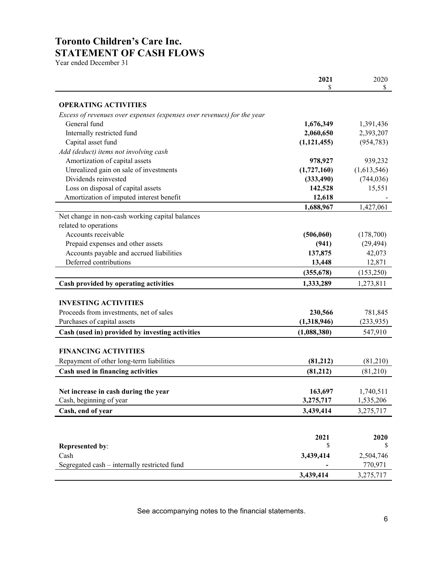# **Toronto Children's Care Inc. STATEMENT OF CASH FLOWS**

Year ended December 31

|                                                                        | 2021          | 2020        |
|------------------------------------------------------------------------|---------------|-------------|
|                                                                        | \$            | \$          |
|                                                                        |               |             |
| <b>OPERATING ACTIVITIES</b>                                            |               |             |
| Excess of revenues over expenses (expenses over revenues) for the year |               |             |
| General fund                                                           | 1,676,349     | 1,391,436   |
| Internally restricted fund                                             | 2,060,650     | 2,393,207   |
| Capital asset fund                                                     | (1, 121, 455) | (954, 783)  |
| Add (deduct) items not involving cash                                  |               |             |
| Amortization of capital assets                                         | 978,927       | 939,232     |
| Unrealized gain on sale of investments                                 | (1,727,160)   | (1,613,546) |
| Dividends reinvested                                                   | (333, 490)    | (744, 036)  |
| Loss on disposal of capital assets                                     | 142,528       | 15,551      |
| Amortization of imputed interest benefit                               | 12,618        |             |
|                                                                        | 1,688,967     | 1,427,061   |
| Net change in non-cash working capital balances                        |               |             |
| related to operations                                                  |               |             |
| Accounts receivable                                                    | (506,060)     | (178,700)   |
| Prepaid expenses and other assets                                      | (941)         | (29, 494)   |
| Accounts payable and accrued liabilities<br>Deferred contributions     | 137,875       | 42,073      |
|                                                                        | 13,448        | 12,871      |
|                                                                        | (355, 678)    | (153,250)   |
| Cash provided by operating activities                                  | 1,333,289     | 1,273,811   |
|                                                                        |               |             |
| <b>INVESTING ACTIVITIES</b>                                            |               |             |
| Proceeds from investments, net of sales                                | 230,566       | 781,845     |
| Purchases of capital assets                                            | (1,318,946)   | (233, 935)  |
| Cash (used in) provided by investing activities                        | (1,088,380)   | 547,910     |
|                                                                        |               |             |
| <b>FINANCING ACTIVITIES</b>                                            |               |             |
| Repayment of other long-term liabilities                               | (81,212)      | (81,210)    |
| Cash used in financing activities                                      | (81,212)      | (81,210)    |
|                                                                        |               |             |
| Net increase in cash during the year                                   | 163,697       | 1,740,511   |
| Cash, beginning of year                                                | 3,275,717     | 1,535,206   |
| Cash, end of year                                                      | 3,439,414     | 3,275,717   |
|                                                                        |               |             |
|                                                                        |               |             |
|                                                                        | 2021          | 2020        |
| Represented by:                                                        | \$            | S           |
| Cash                                                                   | 3,439,414     | 2,504,746   |
| Segregated cash - internally restricted fund                           |               | 770,971     |
|                                                                        | 3,439,414     | 3,275,717   |

See accompanying notes to the financial statements.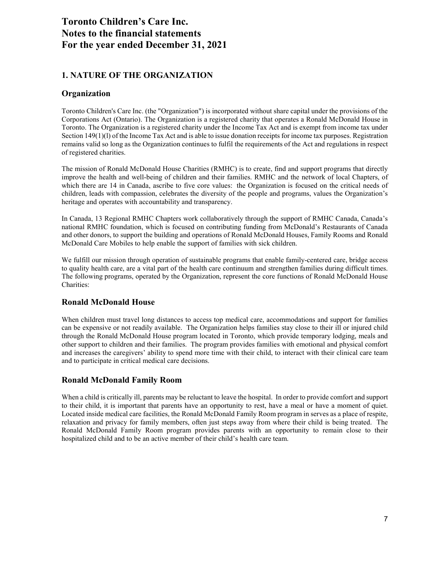#### **1. NATURE OF THE ORGANIZATION**

#### **Organization**

Toronto Children's Care Inc. (the "Organization") is incorporated without share capital under the provisions of the Corporations Act (Ontario). The Organization is a registered charity that operates a Ronald McDonald House in Toronto. The Organization is a registered charity under the Income Tax Act and is exempt from income tax under Section 149(1)(l) of the Income Tax Act and is able to issue donation receipts for income tax purposes. Registration remains valid so long as the Organization continues to fulfil the requirements of the Act and regulations in respect of registered charities.

The mission of Ronald McDonald House Charities (RMHC) is to create, find and support programs that directly improve the health and well-being of children and their families. RMHC and the network of local Chapters, of which there are 14 in Canada, ascribe to five core values: the Organization is focused on the critical needs of children, leads with compassion, celebrates the diversity of the people and programs, values the Organization's heritage and operates with accountability and transparency.

In Canada, 13 Regional RMHC Chapters work collaboratively through the support of RMHC Canada, Canada's national RMHC foundation, which is focused on contributing funding from McDonald's Restaurants of Canada and other donors, to support the building and operations of Ronald McDonald Houses, Family Rooms and Ronald McDonald Care Mobiles to help enable the support of families with sick children.

We fulfill our mission through operation of sustainable programs that enable family-centered care, bridge access to quality health care, are a vital part of the health care continuum and strengthen families during difficult times. The following programs, operated by the Organization, represent the core functions of Ronald McDonald House Charities:

#### **Ronald McDonald House**

When children must travel long distances to access top medical care, accommodations and support for families can be expensive or not readily available. The Organization helps families stay close to their ill or injured child through the Ronald McDonald House program located in Toronto, which provide temporary lodging, meals and other support to children and their families. The program provides families with emotional and physical comfort and increases the caregivers' ability to spend more time with their child, to interact with their clinical care team and to participate in critical medical care decisions.

#### **Ronald McDonald Family Room**

When a child is critically ill, parents may be reluctant to leave the hospital. In order to provide comfort and support to their child, it is important that parents have an opportunity to rest, have a meal or have a moment of quiet. Located inside medical care facilities, the Ronald McDonald Family Room program in serves as a place of respite, relaxation and privacy for family members, often just steps away from where their child is being treated. The Ronald McDonald Family Room program provides parents with an opportunity to remain close to their hospitalized child and to be an active member of their child's health care team.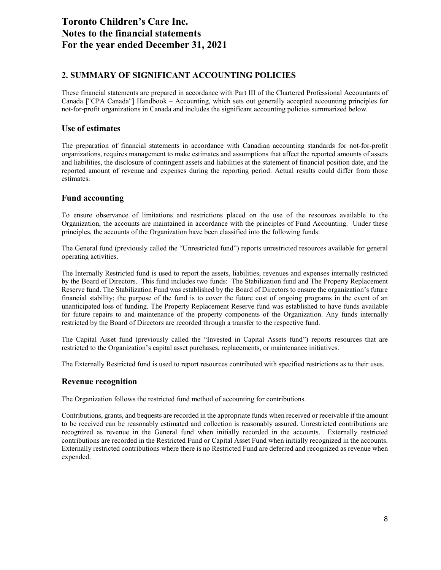#### **2. SUMMARY OF SIGNIFICANT ACCOUNTING POLICIES**

These financial statements are prepared in accordance with Part III of the Chartered Professional Accountants of Canada ["CPA Canada"] Handbook – Accounting, which sets out generally accepted accounting principles for not-for-profit organizations in Canada and includes the significant accounting policies summarized below.

#### **Use of estimates**

The preparation of financial statements in accordance with Canadian accounting standards for not-for-profit organizations, requires management to make estimates and assumptions that affect the reported amounts of assets and liabilities, the disclosure of contingent assets and liabilities at the statement of financial position date, and the reported amount of revenue and expenses during the reporting period. Actual results could differ from those estimates.

#### **Fund accounting**

To ensure observance of limitations and restrictions placed on the use of the resources available to the Organization, the accounts are maintained in accordance with the principles of Fund Accounting. Under these principles, the accounts of the Organization have been classified into the following funds:

The General fund (previously called the "Unrestricted fund") reports unrestricted resources available for general operating activities.

The Internally Restricted fund is used to report the assets, liabilities, revenues and expenses internally restricted by the Board of Directors. This fund includes two funds: The Stabilization fund and The Property Replacement Reserve fund. The Stabilization Fund was established by the Board of Directors to ensure the organization's future financial stability; the purpose of the fund is to cover the future cost of ongoing programs in the event of an unanticipated loss of funding. The Property Replacement Reserve fund was established to have funds available for future repairs to and maintenance of the property components of the Organization. Any funds internally restricted by the Board of Directors are recorded through a transfer to the respective fund.

The Capital Asset fund (previously called the "Invested in Capital Assets fund") reports resources that are restricted to the Organization's capital asset purchases, replacements, or maintenance initiatives.

The Externally Restricted fund is used to report resources contributed with specified restrictions as to their uses.

#### **Revenue recognition**

The Organization follows the restricted fund method of accounting for contributions.

Contributions, grants, and bequests are recorded in the appropriate funds when received or receivable if the amount to be received can be reasonably estimated and collection is reasonably assured. Unrestricted contributions are recognized as revenue in the General fund when initially recorded in the accounts. Externally restricted contributions are recorded in the Restricted Fund or Capital Asset Fund when initially recognized in the accounts. Externally restricted contributions where there is no Restricted Fund are deferred and recognized as revenue when expended.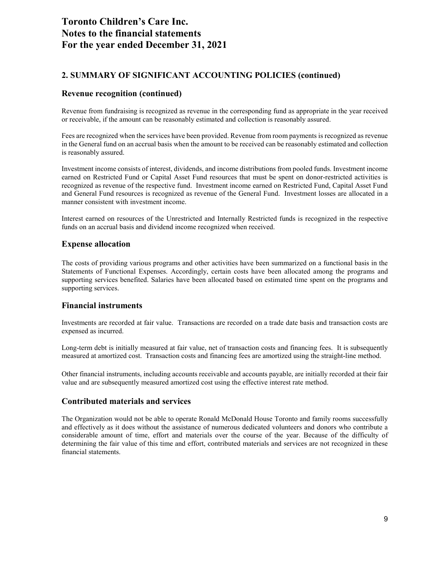#### **2. SUMMARY OF SIGNIFICANT ACCOUNTING POLICIES (continued)**

#### **Revenue recognition (continued)**

Revenue from fundraising is recognized as revenue in the corresponding fund as appropriate in the year received or receivable, if the amount can be reasonably estimated and collection is reasonably assured.

Fees are recognized when the services have been provided. Revenue from room payments is recognized as revenue in the General fund on an accrual basis when the amount to be received can be reasonably estimated and collection is reasonably assured.

Investment income consists of interest, dividends, and income distributions from pooled funds. Investment income earned on Restricted Fund or Capital Asset Fund resources that must be spent on donor-restricted activities is recognized as revenue of the respective fund. Investment income earned on Restricted Fund, Capital Asset Fund and General Fund resources is recognized as revenue of the General Fund. Investment losses are allocated in a manner consistent with investment income.

Interest earned on resources of the Unrestricted and Internally Restricted funds is recognized in the respective funds on an accrual basis and dividend income recognized when received.

#### **Expense allocation**

The costs of providing various programs and other activities have been summarized on a functional basis in the Statements of Functional Expenses. Accordingly, certain costs have been allocated among the programs and supporting services benefited. Salaries have been allocated based on estimated time spent on the programs and supporting services.

#### **Financial instruments**

Investments are recorded at fair value. Transactions are recorded on a trade date basis and transaction costs are expensed as incurred.

Long-term debt is initially measured at fair value, net of transaction costs and financing fees. It is subsequently measured at amortized cost. Transaction costs and financing fees are amortized using the straight-line method.

Other financial instruments, including accounts receivable and accounts payable, are initially recorded at their fair value and are subsequently measured amortized cost using the effective interest rate method.

#### **Contributed materials and services**

The Organization would not be able to operate Ronald McDonald House Toronto and family rooms successfully and effectively as it does without the assistance of numerous dedicated volunteers and donors who contribute a considerable amount of time, effort and materials over the course of the year. Because of the difficulty of determining the fair value of this time and effort, contributed materials and services are not recognized in these financial statements.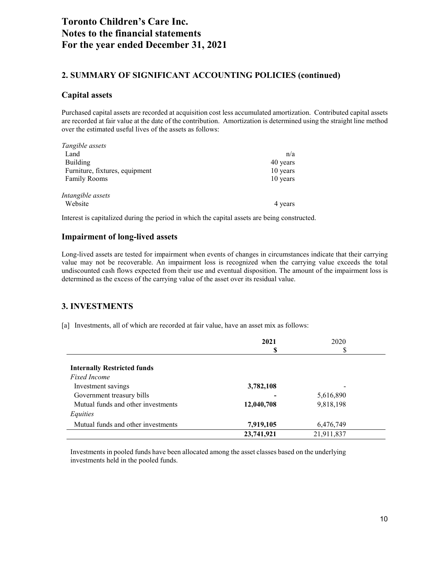#### **2. SUMMARY OF SIGNIFICANT ACCOUNTING POLICIES (continued)**

#### **Capital assets**

Purchased capital assets are recorded at acquisition cost less accumulated amortization. Contributed capital assets are recorded at fair value at the date of the contribution. Amortization is determined using the straight line method over the estimated useful lives of the assets as follows:

| Tangible assets                |          |
|--------------------------------|----------|
| Land                           | n/a      |
| <b>Building</b>                | 40 years |
| Furniture, fixtures, equipment | 10 years |
| <b>Family Rooms</b>            | 10 years |
| Intangible assets              |          |
| Website                        | 4 years  |

Interest is capitalized during the period in which the capital assets are being constructed.

#### **Impairment of long-lived assets**

Long-lived assets are tested for impairment when events of changes in circumstances indicate that their carrying value may not be recoverable. An impairment loss is recognized when the carrying value exceeds the total undiscounted cash flows expected from their use and eventual disposition. The amount of the impairment loss is determined as the excess of the carrying value of the asset over its residual value.

#### **3. INVESTMENTS**

[a] Investments, all of which are recorded at fair value, have an asset mix as follows:

|                                    | 2021       | 2020       |  |
|------------------------------------|------------|------------|--|
|                                    |            |            |  |
|                                    |            |            |  |
| <b>Internally Restricted funds</b> |            |            |  |
| <b>Fixed Income</b>                |            |            |  |
| Investment savings                 | 3,782,108  |            |  |
| Government treasury bills          |            | 5,616,890  |  |
| Mutual funds and other investments | 12,040,708 | 9,818,198  |  |
| Equities                           |            |            |  |
| Mutual funds and other investments | 7,919,105  | 6,476,749  |  |
|                                    | 23,741,921 | 21,911,837 |  |

Investments in pooled funds have been allocated among the asset classes based on the underlying investments held in the pooled funds.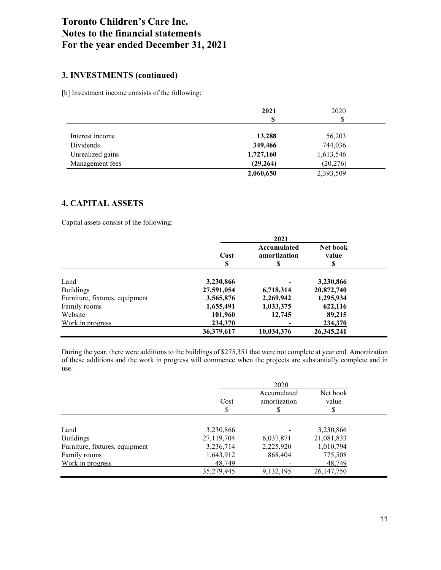#### **3. INVESTMENTS (continued)**

[b] Investment income consists of the following:

|                  | 2021<br>S | 2020      |  |
|------------------|-----------|-----------|--|
| Interest income  | 13,288    | 56,203    |  |
| Dividends        | 349,466   | 744,036   |  |
| Unrealized gains | 1,727,160 | 1,613,546 |  |
| Management fees  | (29, 264) | (20, 276) |  |
|                  | 2,060,650 | 2,393,509 |  |

#### **4. CAPITAL ASSETS**

Capital assets consist of the following:

|                                | 2021       |                                   |                         |  |  |
|--------------------------------|------------|-----------------------------------|-------------------------|--|--|
|                                | Cost<br>S  | Accumulated<br>amortization<br>\$ | Net book<br>value<br>\$ |  |  |
| Land                           | 3,230,866  |                                   | 3,230,866               |  |  |
| <b>Buildings</b>               | 27,591,054 | 6,718,314                         | 20,872,740              |  |  |
| Furniture, fixtures, equipment | 3,565,876  | 2,269,942                         | 1,295,934               |  |  |
| Family rooms                   | 1,655,491  | 1,033,375                         | 622,116                 |  |  |
| Website                        | 101,960    | 12,745                            | 89,215                  |  |  |
| Work in progress               | 234,370    |                                   | 234,370                 |  |  |
|                                | 36,379,617 | 10,034,376                        | 26, 345, 241            |  |  |

During the year, there were additions to the buildings of \$275,351 that were not complete at year end. Amortization of these additions and the work in progress will commence when the projects are substantially complete and in use.

|                                | 2020       |                                  |                        |  |
|--------------------------------|------------|----------------------------------|------------------------|--|
|                                | Cost<br>S  | Accumulated<br>amortization<br>S | Net book<br>value<br>S |  |
|                                |            |                                  |                        |  |
| Land                           | 3,230,866  |                                  | 3,230,866              |  |
| <b>Buildings</b>               | 27,119,704 | 6,037,871                        | 21,081,833             |  |
| Furniture, fixtures, equipment | 3,236,714  | 2,225,920                        | 1,010,794              |  |
| Family rooms                   | 1,643,912  | 868,404                          | 775,508                |  |
| Work in progress               | 48,749     |                                  | 48,749                 |  |
|                                | 35,279,945 | 9,132,195                        | 26, 147, 750           |  |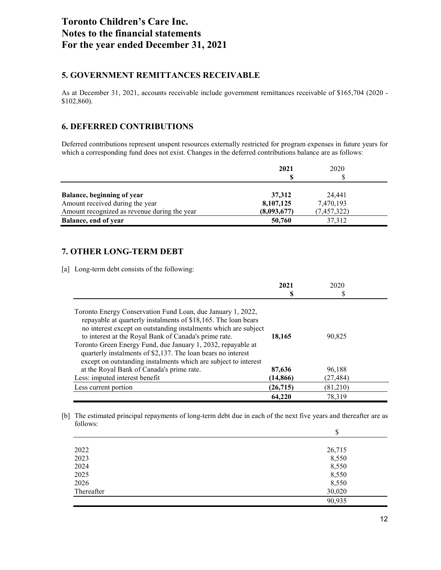#### **5. GOVERNMENT REMITTANCES RECEIVABLE**

As at December 31, 2021, accounts receivable include government remittances receivable of \$165,704 (2020 - \$102,860).

### **6. DEFERRED CONTRIBUTIONS**

Deferred contributions represent unspent resources externally restricted for program expenses in future years for which a corresponding fund does not exist. Changes in the deferred contributions balance are as follows:

|                                              | 2021        | 2020          |  |
|----------------------------------------------|-------------|---------------|--|
| Balance, beginning of year                   | 37,312      | 24.441        |  |
| Amount received during the year              | 8,107,125   | 7,470,193     |  |
| Amount recognized as revenue during the year | (8,093,677) | (7, 457, 322) |  |
| Balance, end of year                         | 50,760      | 37,312        |  |

#### **7. OTHER LONG-TERM DEBT**

[a] Long-term debt consists of the following:

|                                                                                                                                                                                                                                                                                                                                                                                                                                                              | 2021      | 2020     |  |
|--------------------------------------------------------------------------------------------------------------------------------------------------------------------------------------------------------------------------------------------------------------------------------------------------------------------------------------------------------------------------------------------------------------------------------------------------------------|-----------|----------|--|
|                                                                                                                                                                                                                                                                                                                                                                                                                                                              | S         |          |  |
| Toronto Energy Conservation Fund Loan, due January 1, 2022,<br>repayable at quarterly instalments of \$18,165. The loan bears<br>no interest except on outstanding instalments which are subject<br>to interest at the Royal Bank of Canada's prime rate.<br>Toronto Green Energy Fund, due January 1, 2032, repayable at<br>quarterly instalments of \$2,137. The loan bears no interest<br>except on outstanding instalments which are subject to interest | 18,165    | 90,825   |  |
| at the Royal Bank of Canada's prime rate.                                                                                                                                                                                                                                                                                                                                                                                                                    | 87,636    | 96,188   |  |
| Less: imputed interest benefit                                                                                                                                                                                                                                                                                                                                                                                                                               | (14,866)  | (27,484) |  |
| Less current portion                                                                                                                                                                                                                                                                                                                                                                                                                                         | (26, 715) | (81,210) |  |
|                                                                                                                                                                                                                                                                                                                                                                                                                                                              | 64.220    | 78.319   |  |

[b] The estimated principal repayments of long-term debt due in each of the next five years and thereafter are as follows:

|            | \$     |
|------------|--------|
|            |        |
| 2022       | 26,715 |
| 2023       | 8,550  |
| 2024       | 8,550  |
| 2025       | 8,550  |
| 2026       | 8,550  |
| Thereafter | 30,020 |
|            | 90,935 |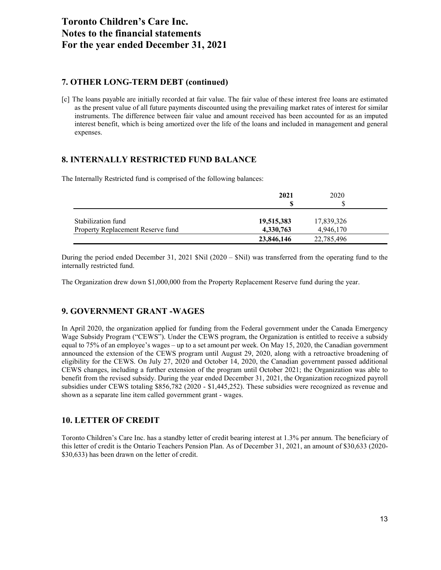#### **7. OTHER LONG-TERM DEBT (continued)**

[c] The loans payable are initially recorded at fair value. The fair value of these interest free loans are estimated as the present value of all future payments discounted using the prevailing market rates of interest for similar instruments. The difference between fair value and amount received has been accounted for as an imputed interest benefit, which is being amortized over the life of the loans and included in management and general expenses.

#### **8. INTERNALLY RESTRICTED FUND BALANCE**

The Internally Restricted fund is comprised of the following balances:

|                                                         | 2021<br>S               | 2020<br>D               |  |
|---------------------------------------------------------|-------------------------|-------------------------|--|
| Stabilization fund<br>Property Replacement Reserve fund | 19,515,383<br>4,330,763 | 17,839,326<br>4,946,170 |  |
|                                                         | 23,846,146              | 22,785,496              |  |

During the period ended December 31, 2021 \$Nil (2020 – \$Nil) was transferred from the operating fund to the internally restricted fund.

The Organization drew down \$1,000,000 from the Property Replacement Reserve fund during the year.

#### **9. GOVERNMENT GRANT -WAGES**

In April 2020, the organization applied for funding from the Federal government under the Canada Emergency Wage Subsidy Program ("CEWS"). Under the CEWS program, the Organization is entitled to receive a subsidy equal to 75% of an employee's wages – up to a set amount per week. On May 15, 2020, the Canadian government announced the extension of the CEWS program until August 29, 2020, along with a retroactive broadening of eligibility for the CEWS. On July 27, 2020 and October 14, 2020, the Canadian government passed additional CEWS changes, including a further extension of the program until October 2021; the Organization was able to benefit from the revised subsidy. During the year ended December 31, 2021, the Organization recognized payroll subsidies under CEWS totaling \$856,782 (2020 - \$1,445,252). These subsidies were recognized as revenue and shown as a separate line item called government grant - wages.

#### **10. LETTER OF CREDIT**

Toronto Children's Care Inc. has a standby letter of credit bearing interest at 1.3% per annum. The beneficiary of this letter of credit is the Ontario Teachers Pension Plan. As of December 31, 2021, an amount of \$30,633 (2020- \$30,633) has been drawn on the letter of credit.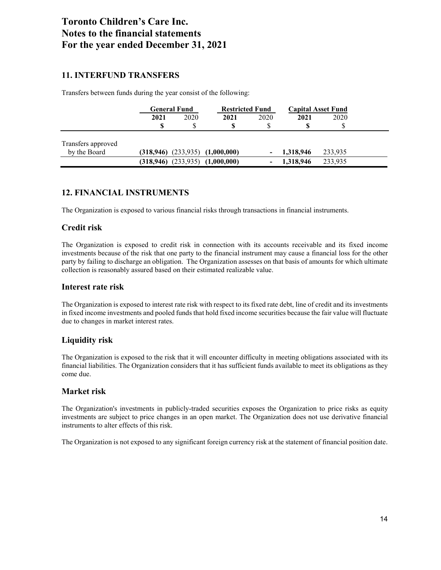#### **11. INTERFUND TRANSFERS**

Transfers between funds during the year consist of the following:

|                    | <b>General Fund</b> |           |                                       | <b>Restricted Fund</b> |           | <b>Capital Asset Fund</b> |  |
|--------------------|---------------------|-----------|---------------------------------------|------------------------|-----------|---------------------------|--|
|                    | 2021                | 2020      | 2021                                  | 2020                   | 2021      | 2020                      |  |
|                    |                     |           |                                       |                        |           |                           |  |
|                    |                     |           |                                       |                        |           |                           |  |
| Transfers approved |                     |           |                                       |                        |           |                           |  |
| by the Board       |                     |           | $(318,946)$ $(233,935)$ $(1,000,000)$ |                        | 1,318,946 | 233,935                   |  |
|                    | (318,946)           | (233,935) | (1,000,000)                           |                        | 1,318,946 | 233.935                   |  |

#### **12. FINANCIAL INSTRUMENTS**

The Organization is exposed to various financial risks through transactions in financial instruments.

#### **Credit risk**

The Organization is exposed to credit risk in connection with its accounts receivable and its fixed income investments because of the risk that one party to the financial instrument may cause a financial loss for the other party by failing to discharge an obligation. The Organization assesses on that basis of amounts for which ultimate collection is reasonably assured based on their estimated realizable value.

#### **Interest rate risk**

The Organization is exposed to interest rate risk with respect to its fixed rate debt, line of credit and its investments in fixed income investments and pooled funds that hold fixed income securities because the fair value will fluctuate due to changes in market interest rates.

#### **Liquidity risk**

The Organization is exposed to the risk that it will encounter difficulty in meeting obligations associated with its financial liabilities. The Organization considers that it has sufficient funds available to meet its obligations as they come due.

#### **Market risk**

The Organization's investments in publicly-traded securities exposes the Organization to price risks as equity investments are subject to price changes in an open market. The Organization does not use derivative financial instruments to alter effects of this risk.

The Organization is not exposed to any significant foreign currency risk at the statement of financial position date.